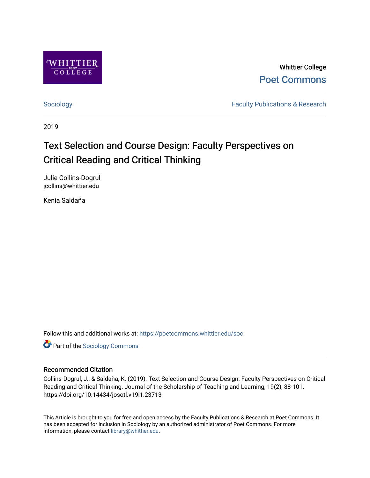

Whittier College [Poet Commons](https://poetcommons.whittier.edu/) 

[Sociology](https://poetcommons.whittier.edu/soc) **Faculty Publications & Research Faculty Publications & Research** 

2019

# Text Selection and Course Design: Faculty Perspectives on Critical Reading and Critical Thinking

Julie Collins-Dogrul jcollins@whittier.edu

Kenia Saldaña

Follow this and additional works at: [https://poetcommons.whittier.edu/soc](https://poetcommons.whittier.edu/soc?utm_source=poetcommons.whittier.edu%2Fsoc%2F1&utm_medium=PDF&utm_campaign=PDFCoverPages)

**Part of the [Sociology Commons](http://network.bepress.com/hgg/discipline/416?utm_source=poetcommons.whittier.edu%2Fsoc%2F1&utm_medium=PDF&utm_campaign=PDFCoverPages)** 

#### Recommended Citation

Collins-Dogrul, J., & Saldaña, K. (2019). Text Selection and Course Design: Faculty Perspectives on Critical Reading and Critical Thinking. Journal of the Scholarship of Teaching and Learning, 19(2), 88-101. https://doi.org/10.14434/josotl.v19i1.23713

This Article is brought to you for free and open access by the Faculty Publications & Research at Poet Commons. It has been accepted for inclusion in Sociology by an authorized administrator of Poet Commons. For more information, please contact [library@whittier.edu.](mailto:library@whittier.edu)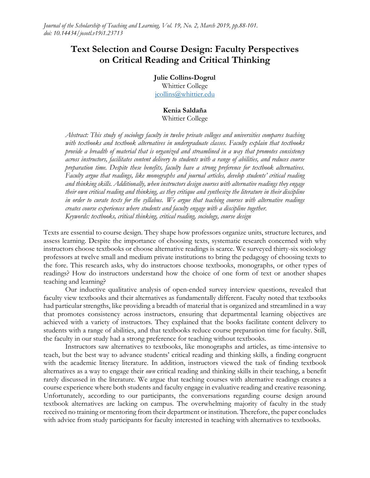# **Text Selection and Course Design: Faculty Perspectives on Critical Reading and Critical Thinking**

**Julie Collins-Dogrul**

Whittier College [jcollins@whittier.edu](mailto:jcollins@whittier.edu)

#### **Kenia Saldaña** Whittier College

*Abstract: This study of sociology faculty in twelve private colleges and universities compares teaching with textbooks and textbook alternatives in undergraduate classes. Faculty explain that textbooks provide a breadth of material that is organized and streamlined in a way that promotes consistency across instructors, facilitates content delivery to students with a range of abilities, and reduces course preparation time. Despite these benefits, faculty have a strong preference for textbook alternatives. Faculty argue that readings, like monographs and journal articles, develop students' critical reading and thinking skills. Additionally, when instructors design courses with alternative readings they engage their own critical reading and thinking, as they critique and synthesize the literature in their discipline in order to curate texts for the syllabus. We argue that teaching courses with alternative readings creates course experiences where students and faculty engage with a discipline together. Keywords: textbooks, critical thinking, critical reading, sociology, course design*

Texts are essential to course design. They shape how professors organize units, structure lectures, and assess learning. Despite the importance of choosing texts, systematic research concerned with why instructors choose textbooks or choose alternative readings is scarce. We surveyed thirty-six sociology professors at twelve small and medium private institutions to bring the pedagogy of choosing texts to the fore. This research asks, why do instructors choose textbooks, monographs, or other types of readings? How do instructors understand how the choice of one form of text or another shapes teaching and learning?

Our inductive qualitative analysis of open-ended survey interview questions, revealed that faculty view textbooks and their alternatives as fundamentally different. Faculty noted that textbooks had particular strengths, like providing a breadth of material that is organized and streamlined in a way that promotes consistency across instructors, ensuring that departmental learning objectives are achieved with a variety of instructors. They explained that the books facilitate content delivery to students with a range of abilities, and that textbooks reduce course preparation time for faculty. Still, the faculty in our study had a strong preference for teaching without textbooks.

Instructors saw alternatives to textbooks, like monographs and articles, as time-intensive to teach, but the best way to advance students' critical reading and thinking skills, a finding congruent with the academic literacy literature. In addition, instructors viewed the task of finding textbook alternatives as a way to engage their *own* critical reading and thinking skills in their teaching, a benefit rarely discussed in the literature. We argue that teaching courses with alternative readings creates a course experience where both students and faculty engage in evaluative reading and creative reasoning. Unfortunately, according to our participants, the conversations regarding course design around textbook alternatives are lacking on campus. The overwhelming majority of faculty in the study received no training or mentoring from their department or institution. Therefore, the paper concludes with advice from study participants for faculty interested in teaching with alternatives to textbooks*.*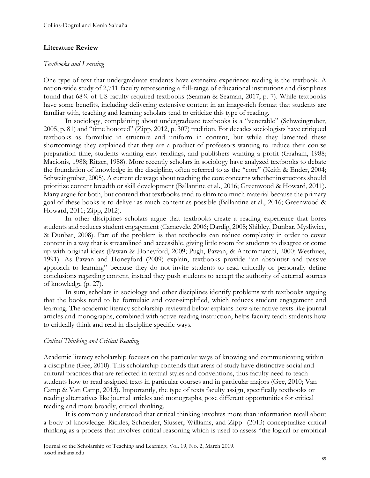#### **Literature Review**

#### *Textbooks and Learning*

One type of text that undergraduate students have extensive experience reading is the textbook. A nation-wide study of 2,711 faculty representing a full-range of educational institutions and disciplines found that 68% of US faculty required textbooks (Seaman & Seaman, 2017, p. 7). While textbooks have some benefits, including delivering extensive content in an image-rich format that students are familiar with, teaching and learning scholars tend to criticize this type of reading.

In sociology, complaining about undergraduate textbooks is a "venerable" (Schweingruber, 2005, p. 81) and "time honored" (Zipp, 2012, p. 307) tradition. For decades sociologists have critiqued textbooks as formulaic in structure and uniform in content, but while they lamented these shortcomings they explained that they are a product of professors wanting to reduce their course preparation time, students wanting easy readings, and publishers wanting a profit (Graham, 1988; Macionis, 1988; Ritzer, 1988). More recently scholars in sociology have analyzed textbooks to debate the foundation of knowledge in the discipline, often referred to as the "core" (Keith & Ender, 2004; Schweingruber, 2005). A current cleavage about teaching the core concerns whether instructors should prioritize content breadth or skill development (Ballantine et al., 2016; Greenwood & Howard, 2011). Many argue for both, but contend that textbooks tend to skim too much material because the primary goal of these books is to deliver as much content as possible (Ballantine et al., 2016; Greenwood & Howard, 2011; Zipp, 2012).

In other disciplines scholars argue that textbooks create a reading experience that bores students and reduces student engagement (Carnevele, 2006; Dardig, 2008; Shibley, Dunbar, Mysliwiec, & Dunbar, 2008). Part of the problem is that textbooks can reduce complexity in order to cover content in a way that is streamlined and accessible, giving little room for students to disagree or come up with original ideas (Pawan & Honeyford, 2009; Pugh, Pawan, & Antommarchi, 2000; Westhues, 1991). As Pawan and Honeyford (2009) explain, textbooks provide "an absolutist and passive approach to learning" because they do not invite students to read critically or personally define conclusions regarding content, instead they push students to accept the authority of external sources of knowledge (p. 27).

In sum, scholars in sociology and other disciplines identify problems with textbooks arguing that the books tend to be formulaic and over-simplified, which reduces student engagement and learning. The academic literacy scholarship reviewed below explains how alternative texts like journal articles and monographs, combined with active reading instruction, helps faculty teach students how to critically think and read in discipline specific ways.

#### *Critical Thinking and Critical Reading*

Academic literacy scholarship focuses on the particular ways of knowing and communicating within a discipline (Gee, 2010). This scholarship contends that areas of study have distinctive social and cultural practices that are reflected in textual styles and conventions, thus faculty need to teach students how to read assigned texts in particular courses and in particular majors (Gee, 2010; Van Camp & Van Camp, 2013). Importantly, the type of texts faculty assign, specifically textbooks or reading alternatives like journal articles and monographs, pose different opportunities for critical reading and more broadly, critical thinking.

It is commonly understood that critical thinking involves more than information recall about a body of knowledge. Rickles, Schneider, Slusser, Williams, and Zipp (2013) conceptualize critical thinking as a process that involves critical reasoning which is used to assess "the logical or empirical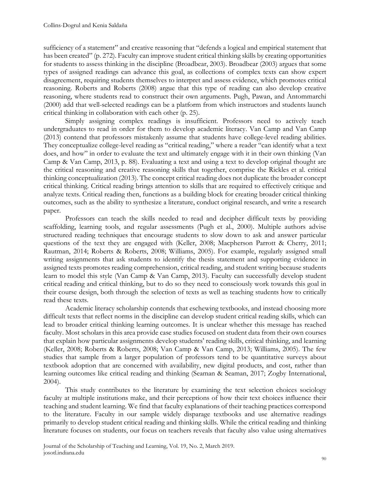sufficiency of a statement" and creative reasoning that "defends a logical and empirical statement that has been created" (p. 272). Faculty can improve student critical thinking skills by creating opportunities for students to assess thinking in the discipline (Broadbear, 2003). Broadbear (2003) argues that some types of assigned readings can advance this goal, as collections of complex texts can show expert disagreement, requiring students themselves to interpret and assess evidence, which promotes critical reasoning. Roberts and Roberts (2008) argue that this type of reading can also develop creative reasoning, where students read to construct their own arguments. Pugh, Pawan, and Antommarchi (2000) add that well-selected readings can be a platform from which instructors and students launch critical thinking in collaboration with each other (p. 25).

Simply assigning complex readings is insufficient. Professors need to actively teach undergraduates to read in order for them to develop academic literacy. Van Camp and Van Camp (2013) contend that professors mistakenly assume that students have college-level reading abilities. They conceptualize college-level reading as "critical reading," where a reader "can identify what a text does, and how" in order to evaluate the text and ultimately engage with it in their own thinking (Van Camp & Van Camp, 2013, p. 88). Evaluating a text and using a text to develop original thought are the critical reasoning and creative reasoning skills that together, comprise the Rickles et al. critical thinking conceptualization (2013). The concept critical reading does not duplicate the broader concept critical thinking. Critical reading brings attention to skills that are required to effectively critique and analyze texts. Critical reading then, functions as a building block for creating broader critical thinking outcomes, such as the ability to synthesize a literature, conduct original research, and write a research paper.

Professors can teach the skills needed to read and decipher difficult texts by providing scaffolding, learning tools, and regular assessments (Pugh et al., 2000). Multiple authors advise structured reading techniques that encourage students to slow down to ask and answer particular questions of the text they are engaged with (Keller, 2008; Macpherson Parrott & Cherry, 2011; Rautman, 2014; Roberts & Roberts, 2008; Williams, 2005). For example, regularly assigned small writing assignments that ask students to identify the thesis statement and supporting evidence in assigned texts promotes reading comprehension, critical reading, and student writing because students learn to model this style (Van Camp & Van Camp, 2013). Faculty can successfully develop student critical reading and critical thinking, but to do so they need to consciously work towards this goal in their course design, both through the selection of texts as well as teaching students how to critically read these texts.

Academic literacy scholarship contends that eschewing textbooks, and instead choosing more difficult texts that reflect norms in the discipline can develop student critical reading skills, which can lead to broader critical thinking learning outcomes. It is unclear whether this message has reached faculty. Most scholars in this area provide case studies focused on student data from their own courses that explain how particular assignments develop students' reading skills, critical thinking, and learning (Keller, 2008; Roberts & Roberts, 2008; Van Camp & Van Camp, 2013; Williams, 2005). The few studies that sample from a larger population of professors tend to be quantitative surveys about textbook adoption that are concerned with availability, new digital products, and cost, rather than learning outcomes like critical reading and thinking (Seaman & Seaman, 2017; Zogby International, 2004).

This study contributes to the literature by examining the text selection choices sociology faculty at multiple institutions make, and their perceptions of how their text choices influence their teaching and student learning. We find that faculty explanations of their teaching practices correspond to the literature. Faculty in our sample widely disparage textbooks and use alternative readings primarily to develop student critical reading and thinking skills. While the critical reading and thinking literature focuses on students, our focus on teachers reveals that faculty also value using alternatives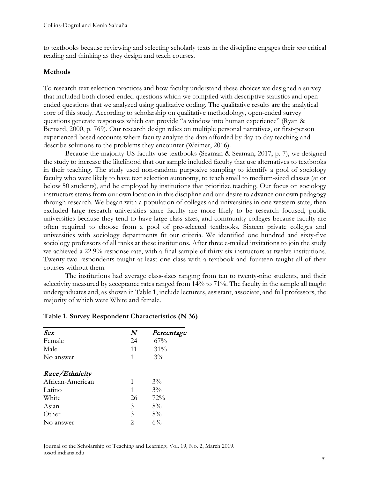to textbooks because reviewing and selecting scholarly texts in the discipline engages their *own* critical reading and thinking as they design and teach courses.

#### **Methods**

To research text selection practices and how faculty understand these choices we designed a survey that included both closed-ended questions which we compiled with descriptive statistics and openended questions that we analyzed using qualitative coding. The qualitative results are the analytical core of this study. According to scholarship on qualitative methodology, open-ended survey questions generate responses which can provide "a window into human experience" (Ryan & Bernard, 2000, p. 769). Our research design relies on multiple personal narratives, or first-person experienced-based accounts where faculty analyze the data afforded by day-to-day teaching and describe solutions to the problems they encounter (Weimer, 2016).

Because the majority US faculty use textbooks (Seaman & Seaman, 2017, p. 7), we designed the study to increase the likelihood that our sample included faculty that use alternatives to textbooks in their teaching. The study used non-random purposive sampling to identify a pool of sociology faculty who were likely to have text selection autonomy, to teach small to medium-sized classes (at or below 50 students), and be employed by institutions that prioritize teaching. Our focus on sociology instructors stems from our own location in this discipline and our desire to advance our own pedagogy through research. We began with a population of colleges and universities in one western state, then excluded large research universities since faculty are more likely to be research focused, public universities because they tend to have large class sizes, and community colleges because faculty are often required to choose from a pool of pre-selected textbooks. Sixteen private colleges and universities with sociology departments fit our criteria. We identified one hundred and sixty-five sociology professors of all ranks at these institutions. After three e-mailed invitations to join the study we achieved a 22.9% response rate, with a final sample of thirty-six instructors at twelve institutions. Twenty-two respondents taught at least one class with a textbook and fourteen taught all of their courses without them.

The institutions had average class-sizes ranging from ten to twenty-nine students, and their selectivity measured by acceptance rates ranged from 14% to 71%. The faculty in the sample all taught undergraduates and, as shown in Table 1, include lecturers, assistant, associate, and full professors, the majority of which were White and female.

| Sex              | $\boldsymbol{N}$ | Percentage |
|------------------|------------------|------------|
| Female           | 24               | 67%        |
| Male             | 11               | 31%        |
| No answer        | 1                | $3\%$      |
| Race/Ethnicity   |                  |            |
| African-American | 1                | $3\%$      |
| Latino           | 1                | $3\%$      |
| White            | 26               | 72%        |
| Asian            | 3                | 8%         |
| Other            | 3                | 8%         |
| No answer        | 2                | $6\%$      |

#### **Table 1. Survey Respondent Characteristics (N 36)**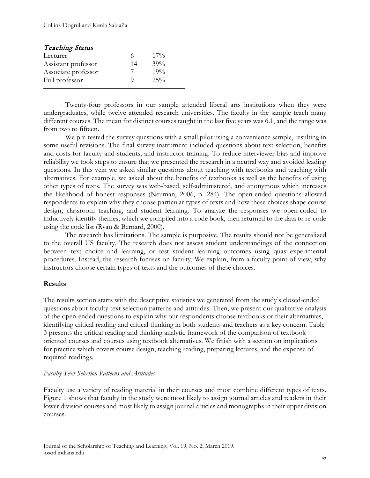| <b>Teaching Status</b> |    |        |
|------------------------|----|--------|
| Lecturer               | 6  | $17\%$ |
| Assistant professor    | 14 | 39%    |
| Associate professor    | 7  | 19%    |
| Full professor         | O) | 25%    |

Twenty-four professors in our sample attended liberal arts institutions when they were undergraduates, while twelve attended research universities. The faculty in the sample teach many different courses. The mean for distinct courses taught in the last five years was 6.1, and the range was from two to fifteen.

We pre-tested the survey questions with a small pilot using a convenience sample, resulting in some useful revisions. The final survey instrument included questions about text selection, benefits and costs for faculty and students, and instructor training. To reduce interviewer bias and improve reliability we took steps to ensure that we presented the research in a neutral way and avoided leading questions. In this vein we asked similar questions about teaching with textbooks and teaching with alternatives. For example, we asked about the benefits of textbooks as well as the benefits of using other types of texts. The survey was web-based, self-administered, and anonymous which increases the likelihood of honest responses (Neuman, 2006, p. 284). The open-ended questions allowed respondents to explain why they choose particular types of texts and how these choices shape course design, classroom teaching, and student learning. To analyze the responses we open-coded to inductively identify themes, which we compiled into a code book, then returned to the data to re-code using the code list (Ryan & Bernard, 2000).

The research has limitations. The sample is purposive. The results should not be generalized to the overall US faculty. The research does not assess student understandings of the connection between text choice and learning, or test student learning outcomes using quasi-experimental procedures. Instead, the research focuses on faculty. We explain, from a faculty point of view, why instructors choose certain types of texts and the outcomes of these choices.

### **Results**

The results section starts with the descriptive statistics we generated from the study's closed-ended questions about faculty text selection patterns and attitudes. Then, we present our qualitative analysis of the open-ended questions to explain why our respondents choose textbooks or their alternatives, identifying critical reading and critical thinking in both students and teachers as a key concern. Table 3 presents the critical reading and thinking analytic framework of the comparison of textbook oriented courses and courses using textbook alternatives. We finish with a section on implications for practice which covers course design, teaching reading, preparing lectures, and the expense of required readings.

#### *Faculty Text Selection Patterns and Attitudes*

Faculty use a variety of reading material in their courses and most combine different types of texts. Figure 1 shows that faculty in the study were most likely to assign journal articles and readers in their lower division courses and most likely to assign journal articles and monographs in their upper division courses.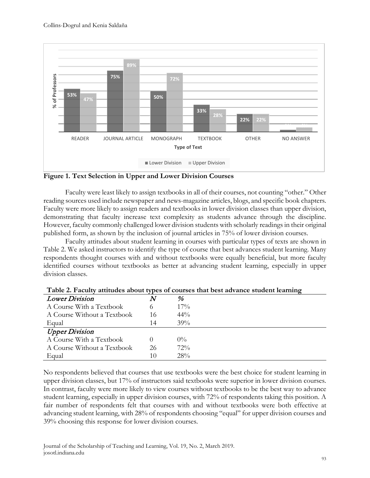

**Figure 1. Text Selection in Upper and Lower Division Courses**

Faculty were least likely to assign textbooks in all of their courses, not counting "other." Other reading sources used include newspaper and news-magazine articles, blogs, and specific book chapters. Faculty were more likely to assign readers and textbooks in lower division classes than upper division, demonstrating that faculty increase text complexity as students advance through the discipline. However, faculty commonly challenged lower division students with scholarly readings in their original published form, as shown by the inclusion of journal articles in 75% of lower division courses.

Faculty attitudes about student learning in courses with particular types of texts are shown in Table 2. We asked instructors to identify the type of course that best advances student learning. Many respondents thought courses with and without textbooks were equally beneficial, but more faculty identified courses without textbooks as better at advancing student learning, especially in upper division classes.

|                             |    | who see a women will word to put to complet that such an inter- |
|-----------------------------|----|-----------------------------------------------------------------|
| <b>Lower Division</b>       |    | %                                                               |
| A Course With a Textbook    |    | $17\%$                                                          |
| A Course Without a Textbook | 16 | $44\%$                                                          |
| Equal                       | 14 | 39%                                                             |
| <b>Upper Division</b>       |    |                                                                 |
| A Course With a Textbook    |    | $0\%$                                                           |
| A Course Without a Textbook | 26 | 72%                                                             |
| Equal                       | 10 | 28%                                                             |

**Table 2. Faculty attitudes about types of courses that best advance student learning**

No respondents believed that courses that use textbooks were the best choice for student learning in upper division classes, but 17% of instructors said textbooks were superior in lower division courses. In contrast, faculty were more likely to view courses without textbooks to be the best way to advance student learning, especially in upper division courses, with 72% of respondents taking this position. A fair number of respondents felt that courses with and without textbooks were both effective at advancing student learning, with 28% of respondents choosing "equal" for upper division courses and 39% choosing this response for lower division courses.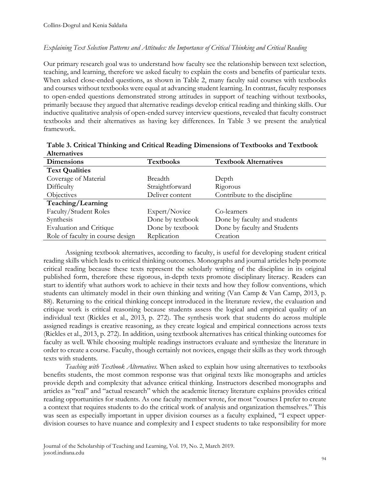#### *Explaining Text Selection Patterns and Attitudes: the Importance of Critical Thinking and Critical Reading*

Our primary research goal was to understand how faculty see the relationship between text selection, teaching, and learning, therefore we asked faculty to explain the costs and benefits of particular texts. When asked close-ended questions, as shown in Table 2, many faculty said courses with textbooks and courses without textbooks were equal at advancing student learning. In contrast, faculty responses to open-ended questions demonstrated strong attitudes in support of teaching without textbooks, primarily because they argued that alternative readings develop critical reading and thinking skills. Our inductive qualitative analysis of open-ended survey interview questions, revealed that faculty construct textbooks and their alternatives as having key differences. In Table 3 we present the analytical framework.

| <b>AUCHIMINES</b>                |                  |                              |
|----------------------------------|------------------|------------------------------|
| <b>Dimensions</b>                | <b>Textbooks</b> | <b>Textbook Alternatives</b> |
| <b>Text Qualities</b>            |                  |                              |
| Coverage of Material             | Breadth          | Depth                        |
| Difficulty                       | Straightforward  | Rigorous                     |
| Objectives                       | Deliver content  | Contribute to the discipline |
| Teaching/Learning                |                  |                              |
| Faculty/Student Roles            | Expert/Novice    | Co-learners                  |
| Synthesis                        | Done by textbook | Done by faculty and students |
| <b>Evaluation and Critique</b>   | Done by textbook | Done by faculty and Students |
| Role of faculty in course design | Replication      | Creation                     |

**Table 3. Critical Thinking and Critical Reading Dimensions of Textbooks and Textbook Alternatives**

Assigning textbook alternatives, according to faculty, is useful for developing student critical reading skills which leads to critical thinking outcomes. Monographs and journal articles help promote critical reading because these texts represent the scholarly writing of the discipline in its original published form, therefore these rigorous, in-depth texts promote disciplinary literacy. Readers can start to identify what authors work to achieve in their texts and how they follow conventions, which students can ultimately model in their own thinking and writing (Van Camp & Van Camp, 2013, p. 88). Returning to the critical thinking concept introduced in the literature review, the evaluation and critique work is critical reasoning because students assess the logical and empirical quality of an individual text (Rickles et al., 2013, p. 272). The synthesis work that students do across multiple assigned readings is creative reasoning, as they create logical and empirical connections across texts (Rickles et al., 2013, p. 272). In addition, using textbook alternatives has critical thinking outcomes for faculty as well. While choosing multiple readings instructors evaluate and synthesize the literature in order to create a course. Faculty, though certainly not novices, engage their skills as they work through texts with students.

*Teaching with Textbook Alternatives.* When asked to explain how using alternatives to textbooks benefits students, the most common response was that original texts like monographs and articles provide depth and complexity that advance critical thinking. Instructors described monographs and articles as "real" and "actual research" which the academic literacy literature explains provides critical reading opportunities for students. As one faculty member wrote, for most "courses I prefer to create a context that requires students to do the critical work of analysis and organization themselves." This was seen as especially important in upper division courses as a faculty explained, "I expect upperdivision courses to have nuance and complexity and I expect students to take responsibility for more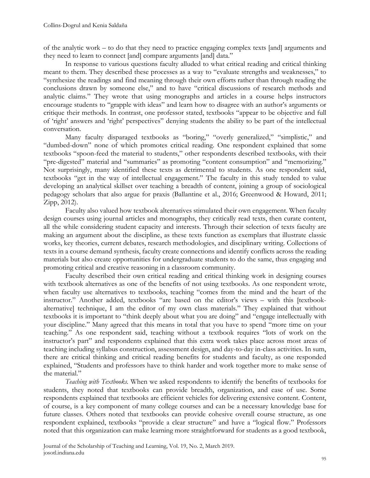of the analytic work – to do that they need to practice engaging complex texts [and] arguments and they need to learn to connect [and] compare arguments [and] data."

In response to various questions faculty alluded to what critical reading and critical thinking meant to them. They described these processes as a way to "evaluate strengths and weaknesses," to "synthesize the readings and find meaning through their own efforts rather than through reading the conclusions drawn by someone else," and to have "critical discussions of research methods and analytic claims." They wrote that using monographs and articles in a course helps instructors encourage students to "grapple with ideas" and learn how to disagree with an author's arguments or critique their methods. In contrast, one professor stated, textbooks "appear to be objective and full of 'right' answers and 'right' perspectives" denying students the ability to be part of the intellectual conversation.

Many faculty disparaged textbooks as "boring," "overly generalized," "simplistic," and "dumbed-down" none of which promotes critical reading. One respondent explained that some textbooks "spoon-feed the material to students," other respondents described textbooks, with their "pre-digested" material and "summaries" as promoting "content consumption" and "memorizing." Not surprisingly, many identified these texts as detrimental to students. As one respondent said, textbooks "get in the way of intellectual engagement." The faculty in this study tended to value developing an analytical skillset over teaching a breadth of content, joining a group of sociological pedagogy scholars that also argue for praxis (Ballantine et al., 2016; Greenwood & Howard, 2011; Zipp, 2012).

Faculty also valued how textbook alternatives stimulated their own engagement. When faculty design courses using journal articles and monographs, they critically read texts, then curate content, all the while considering student capacity and interests. Through their selection of texts faculty are making an argument about the discipline, as these texts function as exemplars that illustrate classic works, key theories, current debates, research methodologies, and disciplinary writing. Collections of texts in a course demand synthesis, faculty create connections and identify conflicts across the reading materials but also create opportunities for undergraduate students to do the same, thus engaging and promoting critical and creative reasoning in a classroom community.

Faculty described their own critical reading and critical thinking work in designing courses with textbook alternatives as one of the benefits of not using textbooks. As one respondent wrote, when faculty use alternatives to textbooks, teaching "comes from the mind and the heart of the instructor." Another added, textbooks "are based on the editor's views – with this [textbookalternative] technique, I am the editor of my own class materials." They explained that without textbooks it is important to "think deeply about what you are doing" and "engage intellectually with your discipline." Many agreed that this means in total that you have to spend "more time on your teaching." As one respondent said, teaching without a textbook requires "lots of work on the instructor's part" and respondents explained that this extra work takes place across most areas of teaching including syllabus construction, assessment design, and day-to-day in-class activities. In sum, there are critical thinking and critical reading benefits for students and faculty, as one responded explained, "Students and professors have to think harder and work together more to make sense of the material."

*Teaching with Textbooks.* When we asked respondents to identify the benefits of textbooks for students, they noted that textbooks can provide breadth, organization, and ease of use. Some respondents explained that textbooks are efficient vehicles for delivering extensive content. Content, of course, is a key component of many college courses and can be a necessary knowledge base for future classes. Others noted that textbooks can provide cohesive overall course structure, as one respondent explained, textbooks "provide a clear structure" and have a "logical flow." Professors noted that this organization can make learning more straightforward for students as a good textbook,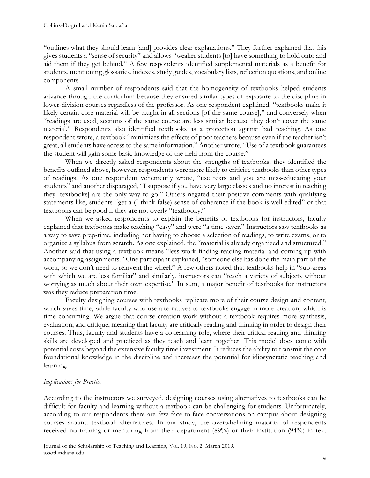"outlines what they should learn [and] provides clear explanations." They further explained that this gives students a "sense of security" and allows "weaker students [to] have something to hold onto and aid them if they get behind." A few respondents identified supplemental materials as a benefit for students, mentioning glossaries, indexes, study guides, vocabulary lists, reflection questions, and online components.

A small number of respondents said that the homogeneity of textbooks helped students advance through the curriculum because they ensured similar types of exposure to the discipline in lower-division courses regardless of the professor. As one respondent explained, "textbooks make it likely certain core material will be taught in all sections [of the same course]," and conversely when "readings are used, sections of the same course are less similar because they don't cover the same material." Respondents also identified textbooks as a protection against bad teaching. As one respondent wrote, a textbook "minimizes the effects of poor teachers because even if the teacher isn't great, all students have access to the same information." Another wrote, "Use of a textbook guarantees the student will gain some basic knowledge of the field from the course."

When we directly asked respondents about the strengths of textbooks, they identified the benefits outlined above, however, respondents were more likely to criticize textbooks than other types of readings. As one respondent vehemently wrote, "use texts and you are miss-educating your students" and another disparaged, "I suppose if you have very large classes and no interest in teaching they [textbooks] are the only way to go." Others negated their positive comments with qualifying statements like, students "get a (I think false) sense of coherence if the book is well edited" or that textbooks can be good if they are not overly "textbooky."

When we asked respondents to explain the benefits of textbooks for instructors, faculty explained that textbooks make teaching "easy" and were "a time saver." Instructors saw textbooks as a way to save prep-time, including not having to choose a selection of readings, to write exams, or to organize a syllabus from scratch. As one explained, the "material is already organized and structured." Another said that using a textbook means "less work finding reading material and coming up with accompanying assignments." One participant explained, "someone else has done the main part of the work, so we don't need to reinvent the wheel." A few others noted that textbooks help in "sub-areas with which we are less familiar" and similarly, instructors can "teach a variety of subjects without worrying as much about their own expertise." In sum, a major benefit of textbooks for instructors was they reduce preparation time.

Faculty designing courses with textbooks replicate more of their course design and content, which saves time, while faculty who use alternatives to textbooks engage in more creation, which is time consuming. We argue that course creation work without a textbook requires more synthesis, evaluation, and critique, meaning that faculty are critically reading and thinking in order to design their courses. Thus, faculty and students have a co-learning role, where their critical reading and thinking skills are developed and practiced as they teach and learn together. This model does come with potential costs beyond the extensive faculty time investment. It reduces the ability to transmit the core foundational knowledge in the discipline and increases the potential for idiosyncratic teaching and learning.

#### *Implications for Practice*

According to the instructors we surveyed, designing courses using alternatives to textbooks can be difficult for faculty and learning without a textbook can be challenging for students. Unfortunately, according to our respondents there are few face-to-face conversations on campus about designing courses around textbook alternatives. In our study, the overwhelming majority of respondents received no training or mentoring from their department (89%) or their institution (94%) in text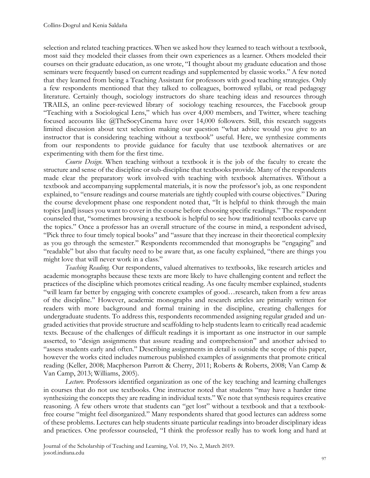selection and related teaching practices. When we asked how they learned to teach without a textbook, most said they modeled their classes from their own experiences as a learner. Others modeled their courses on their graduate education, as one wrote, "I thought about my graduate education and those seminars were frequently based on current readings and supplemented by classic works." A few noted that they learned from being a Teaching Assistant for professors with good teaching strategies. Only a few respondents mentioned that they talked to colleagues, borrowed syllabi, or read pedagogy literature. Certainly though, sociology instructors do share teaching ideas and resources through TRAILS, an online peer-reviewed library of sociology teaching resources, the Facebook group "Teaching with a Sociological Lens," which has over 4,000 members, and Twitter, where teaching focused accounts like @TheSocyCinema have over 14,000 followers. Still, this research suggests limited discussion about text selection making our question "what advice would you give to an instructor that is considering teaching without a textbook" useful. Here, we synthesize comments from our respondents to provide guidance for faculty that use textbook alternatives or are experimenting with them for the first time.

*Course Design.* When teaching without a textbook it is the job of the faculty to create the structure and sense of the discipline or sub-discipline that textbooks provide. Many of the respondents made clear the preparatory work involved with teaching with textbook alternatives. Without a textbook and accompanying supplemental materials, it is now the professor's job, as one respondent explained, to "ensure readings and course materials are tightly coupled with course objectives." During the course development phase one respondent noted that, "It is helpful to think through the main topics [and] issues you want to cover in the course before choosing specific readings." The respondent counseled that, "sometimes browsing a textbook is helpful to see how traditional textbooks carve up the topics." Once a professor has an overall structure of the course in mind, a respondent advised, "Pick three to four timely topical books" and "assure that they increase in their theoretical complexity as you go through the semester." Respondents recommended that monographs be "engaging" and "readable" but also that faculty need to be aware that, as one faculty explained, "there are things you might love that will never work in a class."

*Teaching Reading.* Our respondents, valued alternatives to textbooks, like research articles and academic monographs because these texts are more likely to have challenging content and reflect the practices of the discipline which promotes critical reading. As one faculty member explained, students "will learn far better by engaging with concrete examples of good…research, taken from a few areas of the discipline." However, academic monographs and research articles are primarily written for readers with more background and formal training in the discipline, creating challenges for undergraduate students. To address this, respondents recommended assigning regular graded and ungraded activities that provide structure and scaffolding to help students learn to critically read academic texts. Because of the challenges of difficult readings it is important as one instructor in our sample asserted, to "design assignments that assure reading and comprehension" and another advised to "assess students early and often." Describing assignments in detail is outside the scope of this paper, however the works cited includes numerous published examples of assignments that promote critical reading (Keller, 2008; Macpherson Parrott & Cherry, 2011; Roberts & Roberts, 2008; Van Camp & Van Camp, 2013; Williams, 2005).

*Lecture.* Professors identified organization as one of the key teaching and learning challenges in courses that do not use textbooks. One instructor noted that students "may have a harder time synthesizing the concepts they are reading in individual texts." We note that synthesis requires creative reasoning. A few others wrote that students can "get lost" without a textbook and that a textbookfree course "might feel disorganized." Many respondents shared that good lectures can address some of these problems. Lectures can help students situate particular readings into broader disciplinary ideas and practices. One professor counseled, "I think the professor really has to work long and hard at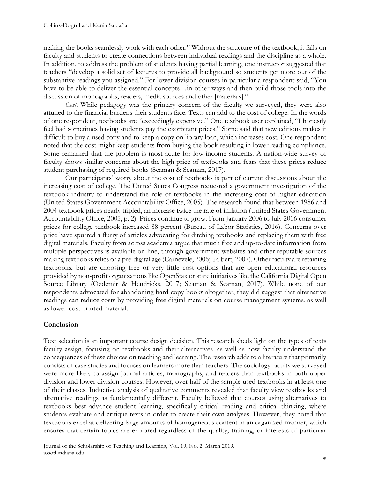making the books seamlessly work with each other." Without the structure of the textbook, it falls on faculty and students to create connections between individual readings and the discipline as a whole. In addition, to address the problem of students having partial learning, one instructor suggested that teachers "develop a solid set of lectures to provide all background so students get more out of the substantive readings you assigned." For lower division courses in particular a respondent said, "You have to be able to deliver the essential concepts…in other ways and then build those tools into the discussion of monographs, readers, media sources and other [materials]."

*Cost*. While pedagogy was the primary concern of the faculty we surveyed, they were also attuned to the financial burdens their students face. Texts can add to the cost of college. In the words of one respondent, textbooks are "exceedingly expensive." One textbook user explained, "I honestly feel bad sometimes having students pay the exorbitant prices." Some said that new editions makes it difficult to buy a used copy and to keep a copy on library loan, which increases cost. One respondent noted that the cost might keep students from buying the book resulting in lower reading compliance. Some remarked that the problem is most acute for low-income students. A nation-wide survey of faculty shows similar concerns about the high price of textbooks and fears that these prices reduce student purchasing of required books (Seaman & Seaman, 2017).

Our participants' worry about the cost of textbooks is part of current discussions about the increasing cost of college. The United States Congress requested a government investigation of the textbook industry to understand the role of textbooks in the increasing cost of higher education (United States Government Accountability Office, 2005). The research found that between 1986 and 2004 textbook prices nearly tripled, an increase twice the rate of inflation (United States Government Accountability Office, 2005, p. 2). Prices continue to grow. From January 2006 to July 2016 consumer prices for college textbook increased 88 percent (Bureau of Labor Statistics, 2016). Concerns over price have spurred a flurry of articles advocating for ditching textbooks and replacing them with free digital materials. Faculty from across academia argue that much free and up-to-date information from multiple perspectives is available on-line, through government websites and other reputable sources making textbooks relics of a pre-digital age (Carnevele, 2006; Talbert, 2007). Other faculty are retaining textbooks, but are choosing free or very little cost options that are open educational resources provided by non-profit organizations like OpenStax or state initiatives like the California Digital Open Source Library (Ozdemir & Hendricks, 2017; Seaman & Seaman, 2017). While none of our respondents advocated for abandoning hard-copy books altogether, they did suggest that alternative readings can reduce costs by providing free digital materials on course management systems, as well as lower-cost printed material.

## **Conclusion**

Text selection is an important course design decision. This research sheds light on the types of texts faculty assign, focusing on textbooks and their alternatives, as well as how faculty understand the consequences of these choices on teaching and learning. The research adds to a literature that primarily consists of case studies and focuses on learners more than teachers. The sociology faculty we surveyed were more likely to assign journal articles, monographs, and readers than textbooks in both upper division and lower division courses. However, over half of the sample used textbooks in at least one of their classes. Inductive analysis of qualitative comments revealed that faculty view textbooks and alternative readings as fundamentally different. Faculty believed that courses using alternatives to textbooks best advance student learning, specifically critical reading and critical thinking, where students evaluate and critique texts in order to create their own analyses. However, they noted that textbooks excel at delivering large amounts of homogeneous content in an organized manner, which ensures that certain topics are explored regardless of the quality, training, or interests of particular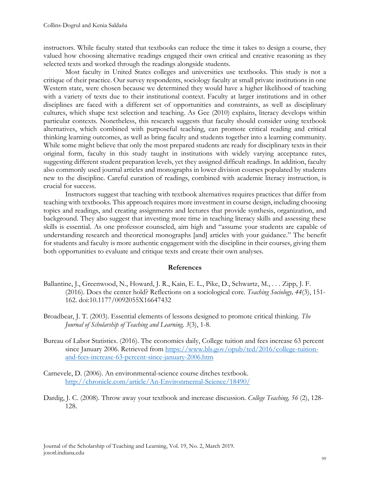instructors. While faculty stated that textbooks can reduce the time it takes to design a course, they valued how choosing alternative readings engaged their own critical and creative reasoning as they selected texts and worked through the readings alongside students.

Most faculty in United States colleges and universities use textbooks. This study is not a critique of their practice. Our survey respondents, sociology faculty at small private institutions in one Western state, were chosen because we determined they would have a higher likelihood of teaching with a variety of texts due to their institutional context. Faculty at larger institutions and in other disciplines are faced with a different set of opportunities and constraints, as well as disciplinary cultures, which shape text selection and teaching. As Gee (2010) explains, literacy develops within particular contexts. Nonetheless, this research suggests that faculty should consider using textbook alternatives, which combined with purposeful teaching, can promote critical reading and critical thinking learning outcomes, as well as bring faculty and students together into a learning community. While some might believe that only the most prepared students are ready for disciplinary texts in their original form, faculty in this study taught in institutions with widely varying acceptance rates, suggesting different student preparation levels, yet they assigned difficult readings. In addition, faculty also commonly used journal articles and monographs in lower division courses populated by students new to the discipline. Careful curation of readings, combined with academic literacy instruction, is crucial for success.

Instructors suggest that teaching with textbook alternatives requires practices that differ from teaching with textbooks. This approach requires more investment in course design, including choosing topics and readings, and creating assignments and lectures that provide synthesis, organization, and background. They also suggest that investing more time in teaching literacy skills and assessing these skills is essential. As one professor counseled, aim high and "assume your students are capable of understanding research and theoretical monographs [and] articles with your guidance." The benefit for students and faculty is more authentic engagement with the discipline in their courses, giving them both opportunities to evaluate and critique texts and create their own analyses.

#### **References**

- Ballantine, J., Greenwood, N., Howard, J. R., Kain, E. L., Pike, D., Schwartz, M., . . . Zipp, J. F. (2016). Does the center hold? Reflections on a sociological core. *Teaching Sociology, 44*(3), 151- 162. doi:10.1177/0092055X16647432
- Broadbear, J. T. (2003). Essential elements of lessons designed to promote critical thinking. *The Journal of Scholarship of Teaching and Learning, 3*(3), 1-8.
- Bureau of Labor Statistics. (2016). The economics daily, College tuition and fees increase 63 percent since January 2006. Retrieved from [https://www.bls.gov/opub/ted/2016/college-tuition](https://www.bls.gov/opub/ted/2016/college-tuition-and-fees-increase-63-percent-since-january-2006.htm)[and-fees-increase-63-percent-since-january-2006.htm](https://www.bls.gov/opub/ted/2016/college-tuition-and-fees-increase-63-percent-since-january-2006.htm)
- Carnevele, D. (2006). An environmental-science course ditches textbook. <http://chronicle.com/article/An-Environmental-Science/18490/>
- Dardig, J. C. (2008). Throw away your textbook and increase discussion. *College Teaching, 56* (2), 128- 128.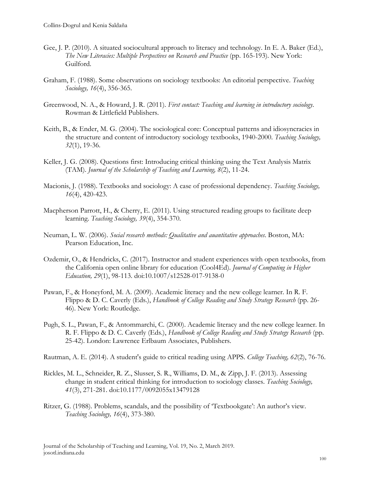- Gee, J. P. (2010). A situated sociocultural approach to literacy and technology. In E. A. Baker (Ed.), *The New Literacies: Multiple Perspectives on Research and Practice* (pp. 165-193). New York: Guilford.
- Graham, F. (1988). Some observations on sociology textbooks: An editorial perspective. *Teaching Sociology, 16*(4), 356-365.
- Greenwood, N. A., & Howard, J. R. (2011). *First contact: Teaching and learning in introductory sociology*. Rowman & Littlefield Publishers.
- Keith, B., & Ender, M. G. (2004). The sociological core: Conceptual patterns and idiosyncracies in the structure and content of introductory sociology textbooks, 1940-2000. *Teaching Sociology, 32*(1), 19-36.
- Keller, J. G. (2008). Questions first: Introducing critical thinking using the Text Analysis Matrix (TAM). *Journal of the Scholarship of Teaching and Learning, 8*(2), 11-24.
- Macionis, J. (1988). Textbooks and sociology: A case of professional dependency. *Teaching Sociology, 16*(4), 420-423.
- Macpherson Parrott, H., & Cherry, E. (2011). Using structured reading groups to facilitate deep learning. *Teaching Sociology, 39*(4), 354-370.
- Neuman, L. W. (2006). *Social research methods: Qualitative and auantitative approaches*. Boston, MA: Pearson Education, Inc.
- Ozdemir, O., & Hendricks, C. (2017). Instructor and student experiences with open textbooks, from the California open online library for education (Cool4Ed). *Journal of Computing in Higher Education, 29*(1), 98-113. doi:10.1007/s12528-017-9138-0
- Pawan, F., & Honeyford, M. A. (2009). Academic literacy and the new college learner. In R. F. Flippo & D. C. Caverly (Eds.), *Handbook of College Reading and Study Strategy Research* (pp. 26- 46). New York: Routledge.
- Pugh, S. L., Pawan, F., & Antommarchi, C. (2000). Academic literacy and the new college learner. In R. F. Flippo & D. C. Caverly (Eds.), *Handbook of College Reading and Study Strategy Research* (pp. 25-42). London: Lawrence Erlbaum Associates, Publishers.

Rautman, A. E. (2014). A student's guide to critical reading using APPS. *College Teaching, 62*(2), 76-76.

- Rickles, M. L., Schneider, R. Z., Slusser, S. R., Williams, D. M., & Zipp, J. F. (2013). Assessing change in student critical thinking for introduction to sociology classes. *Teaching Sociology, 41*(3), 271-281. doi:10.1177/0092055x13479128
- Ritzer, G. (1988). Problems, scandals, and the possibility of 'Textbookgate': An author's view. *Teaching Sociology, 16*(4), 373-380.